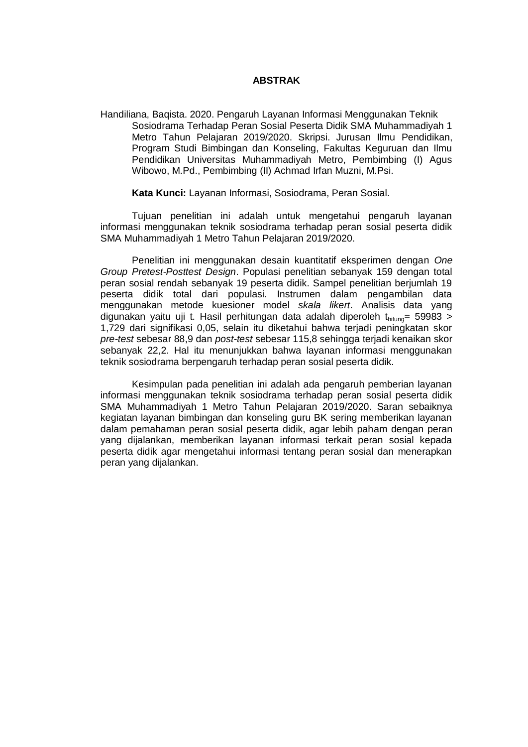## **ABSTRAK**

Handiliana, Baqista. 2020. Pengaruh Layanan Informasi Menggunakan Teknik Sosiodrama Terhadap Peran Sosial Peserta Didik SMA Muhammadiyah 1 Metro Tahun Pelajaran 2019/2020. Skripsi. Jurusan Ilmu Pendidikan, Program Studi Bimbingan dan Konseling, Fakultas Keguruan dan Ilmu Pendidikan Universitas Muhammadiyah Metro, Pembimbing (I) Agus Wibowo, M.Pd., Pembimbing (II) Achmad Irfan Muzni, M.Psi.

## **Kata Kunci:** Layanan Informasi, Sosiodrama, Peran Sosial.

Tujuan penelitian ini adalah untuk mengetahui pengaruh layanan informasi menggunakan teknik sosiodrama terhadap peran sosial peserta didik SMA Muhammadiyah 1 Metro Tahun Pelajaran 2019/2020.

Penelitian ini menggunakan desain kuantitatif eksperimen dengan *One Group Pretest-Posttest Design*. Populasi penelitian sebanyak 159 dengan total peran sosial rendah sebanyak 19 peserta didik. Sampel penelitian berjumlah 19 peserta didik total dari populasi. Instrumen dalam pengambilan data menggunakan metode kuesioner model *skala likert*. Analisis data yang digunakan yaitu uji t. Hasil perhitungan data adalah diperoleh  $t<sub>hituno</sub> = 59983$  > 1,729 dari signifikasi 0,05, selain itu diketahui bahwa terjadi peningkatan skor *pre-test* sebesar 88,9 dan *post-test* sebesar 115,8 sehingga terjadi kenaikan skor sebanyak 22,2. Hal itu menunjukkan bahwa layanan informasi menggunakan teknik sosiodrama berpengaruh terhadap peran sosial peserta didik.

Kesimpulan pada penelitian ini adalah ada pengaruh pemberian layanan informasi menggunakan teknik sosiodrama terhadap peran sosial peserta didik SMA Muhammadiyah 1 Metro Tahun Pelajaran 2019/2020. Saran sebaiknya kegiatan layanan bimbingan dan konseling guru BK sering memberikan layanan dalam pemahaman peran sosial peserta didik, agar lebih paham dengan peran yang dijalankan, memberikan layanan informasi terkait peran sosial kepada peserta didik agar mengetahui informasi tentang peran sosial dan menerapkan peran yang dijalankan.